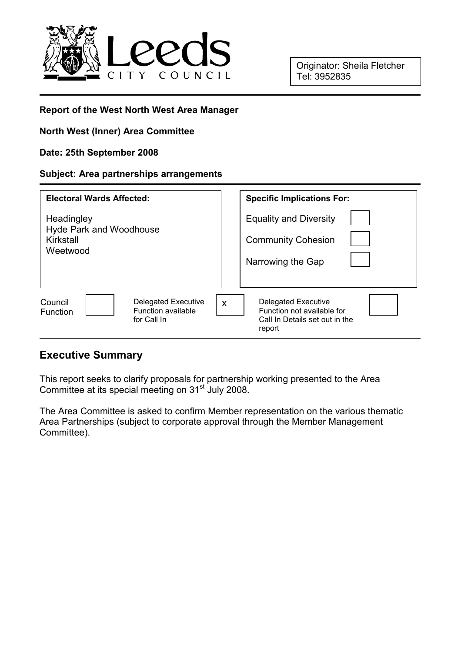

### Report of the West North West Area Manager

### North West (Inner) Area Committee

#### Date: 25th September 2008

#### Subject: Area partnerships arrangements

| <b>Electoral Wards Affected:</b>                                                              | <b>Specific Implications For:</b>                                                                         |
|-----------------------------------------------------------------------------------------------|-----------------------------------------------------------------------------------------------------------|
| Headingley<br><b>Hyde Park and Woodhouse</b><br>Kirkstall<br>Weetwood                         | <b>Equality and Diversity</b><br><b>Community Cohesion</b><br>Narrowing the Gap                           |
| <b>Delegated Executive</b><br>Council<br>Function available<br><b>Function</b><br>for Call In | <b>Delegated Executive</b><br>X<br>Function not available for<br>Call In Details set out in the<br>report |

## Executive Summary

This report seeks to clarify proposals for partnership working presented to the Area Committee at its special meeting on 31<sup>st</sup> July 2008.

The Area Committee is asked to confirm Member representation on the various thematic Area Partnerships (subject to corporate approval through the Member Management Committee).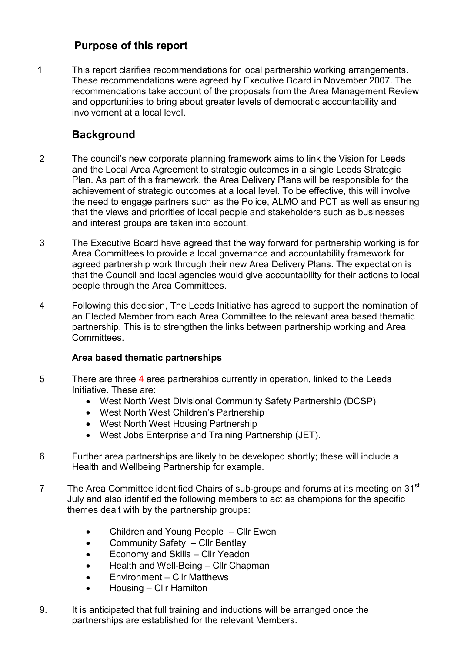## Purpose of this report

1 This report clarifies recommendations for local partnership working arrangements. These recommendations were agreed by Executive Board in November 2007. The recommendations take account of the proposals from the Area Management Review and opportunities to bring about greater levels of democratic accountability and involvement at a local level.

# **Background**

- 2 The council's new corporate planning framework aims to link the Vision for Leeds and the Local Area Agreement to strategic outcomes in a single Leeds Strategic Plan. As part of this framework, the Area Delivery Plans will be responsible for the achievement of strategic outcomes at a local level. To be effective, this will involve the need to engage partners such as the Police, ALMO and PCT as well as ensuring that the views and priorities of local people and stakeholders such as businesses and interest groups are taken into account.
- 3 The Executive Board have agreed that the way forward for partnership working is for Area Committees to provide a local governance and accountability framework for agreed partnership work through their new Area Delivery Plans. The expectation is that the Council and local agencies would give accountability for their actions to local people through the Area Committees.
- 4 Following this decision, The Leeds Initiative has agreed to support the nomination of an Elected Member from each Area Committee to the relevant area based thematic partnership. This is to strengthen the links between partnership working and Area Committees.

### Area based thematic partnerships

- 5 There are three 4 area partnerships currently in operation, linked to the Leeds Initiative. These are:
	- West North West Divisional Community Safety Partnership (DCSP)
	- West North West Children's Partnership
	- West North West Housing Partnership
	- West Jobs Enterprise and Training Partnership (JET).
- 6 Further area partnerships are likely to be developed shortly; these will include a Health and Wellbeing Partnership for example.
- 7 The Area Committee identified Chairs of sub-groups and forums at its meeting on 31<sup>st</sup> July and also identified the following members to act as champions for the specific themes dealt with by the partnership groups:
	- Children and Young People Cllr Ewen
	- Community Safety Cllr Bentley
	- Economy and Skills Cllr Yeadon
	- Health and Well-Being Cllr Chapman
	- Environment Cllr Matthews
	- Housing Cllr Hamilton
- 9. It is anticipated that full training and inductions will be arranged once the partnerships are established for the relevant Members.